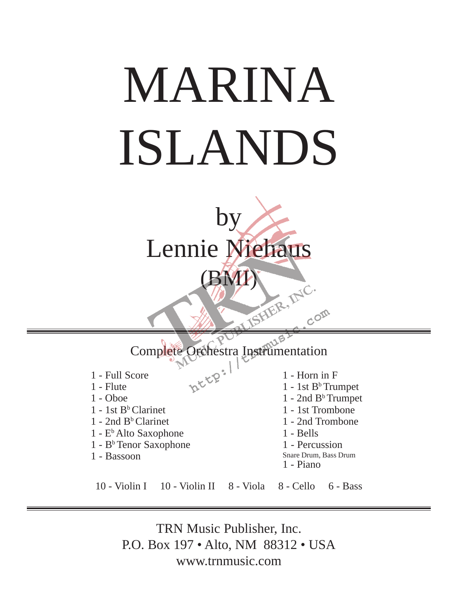## MARINA ISLANDS

by

Lennie Niehaus

(BMI)



Complete Orchestra Instrumentation

- 1 Full Score
- 1 Flute
- 1 Oboe
- 1 1st  $B<sup>b</sup>$  Clarinet
- 1 2nd  $B<sup>b</sup>$  Clarinet
- 1 Eb Alto Saxophone
- 1 Bb Tenor Saxophone
- 1 Bassoon
- 1 Horn in F
- 1 1st Bb Trumpet
- $1 2$ nd B<sup>b</sup> Trumpet
- 1 1st Trombone
- 1 2nd Trombone
- 1 Bells
- 1 Percussion
- Snare Drum, Bass Drum
- 1 Piano

10 - Violin I  $10$  - Violin II  $8$  - Viola  $8$  - Cello  $6$  - Bass

TRN Music Publisher, Inc. P.O. Box 197 • Alto, NM 88312 • USA www.trnmusic.com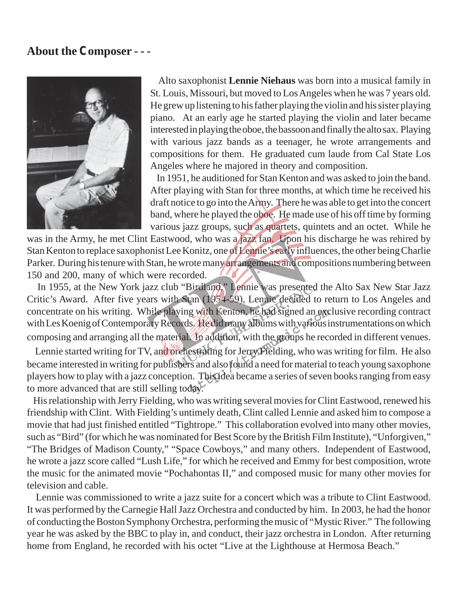## **About the Composer - - -**



Alto saxophonist **Lennie Niehaus** was born into a musical family in St. Louis, Missouri, but moved to Los Angeles when he was 7 years old. He grew up listening to his father playing the violin and his sister playing piano. At an early age he started playing the violin and later became interested in playing the oboe, the bassoon and finally the alto sax. Playing with various jazz bands as a teenager, he wrote arrangements and compositions for them. He graduated cum laude from Cal State Los Angeles where he majored in theory and composition.

 In 1951, he auditioned for Stan Kenton and was asked to join the band. After playing with Stan for three months, at which time he received his draft notice to go into the Army. There he was able to get into the concert band, where he played the oboe. He made use of his off time by forming various jazz groups, such as quartets, quintets and an octet. While he

was in the Army, he met Clint Eastwood, who was a jazz fan. Upon his discharge he was rehired by Stan Kenton to replace saxophonist Lee Konitz, one of Lennie's early influences, the other being Charlie Parker. During his tenure with Stan, he wrote many arrangements and compositions numbering between 150 and 200, many of which were recorded.

 In 1955, at the New York jazz club "Birdland," Lennie was presented the Alto Sax New Star Jazz Critic's Award. After five years with Stan (1954-59), Lennie decided to return to Los Angeles and concentrate on his writing. While playing with Kenton, he had signed an exclusive recording contract with Les Koenig of Contemporary Records. He did many albums with various instrumentations on which composing and arranging all the material. In addition, with the groups he recorded in different venues.

 Lennie started writing for TV, and orchestrating for Jerry Fielding, who was writing for film. He also became interested in writing for publishers and also found a need for material to teach young saxophone players how to play with a jazz conception. This idea became a series of seven books ranging from easy to more advanced that are still selling today.

 His relationship with Jerry Fielding, who was writing several movies for Clint Eastwood, renewed his friendship with Clint. With Fielding's untimely death, Clint called Lennie and asked him to compose a movie that had just finished entitled "Tightrope." This collaboration evolved into many other movies, such as "Bird" (for which he was nominated for Best Score by the British Film Institute), "Unforgiven," "The Bridges of Madison County," "Space Cowboys," and many others. Independent of Eastwood, he wrote a jazz score called "Lush Life," for which he received and Emmy for best composition, wrote the music for the animated movie "Pochahontas II," and composed music for many other movies for television and cable.

 Lennie was commissioned to write a jazz suite for a concert which was a tribute to Clint Eastwood. It was performed by the Carnegie Hall Jazz Orchestra and conducted by him. In 2003, he had the honor of conducting the Boston Symphony Orchestra, performing the music of "Mystic River." The following year he was asked by the BBC to play in, and conduct, their jazz orchestra in London. After returning home from England, he recorded with his octet "Live at the Lighthouse at Hermosa Beach."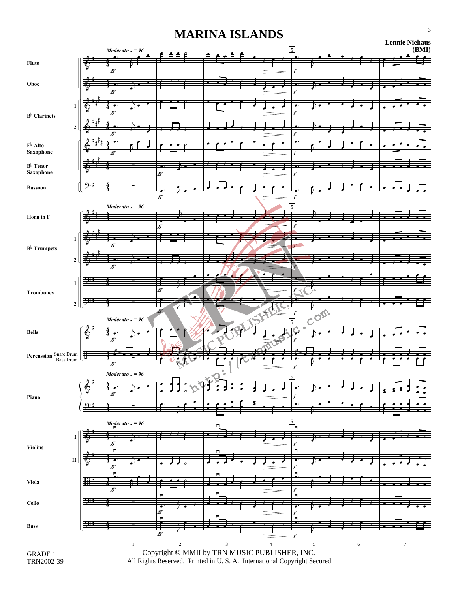## **MARINA ISLANDS**



TRN2002-39

Copyright © MMII by TRN MUSIC PUBLISHER, INC. All Rights Reserved. Printed in U. S. A. International Copyright Secured.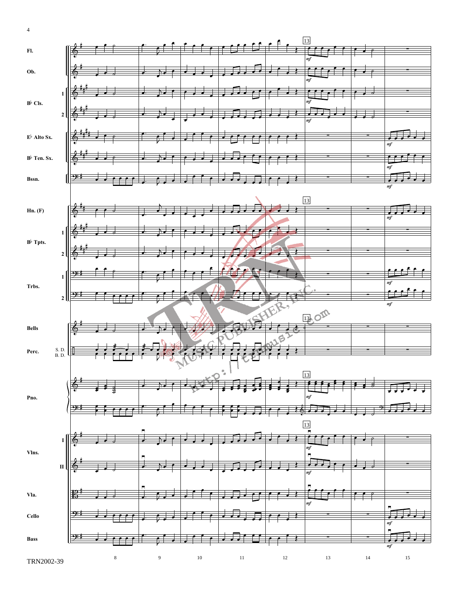

 $\overline{\phantom{a}}$ **Bass**  $\overline{\cdot}$  $10\,$  $11\,$  $12\,$  $13\,$  $\,$  8  $\,$  $\overline{9}$  $14\,$  $15\,$ TRN2002-39

 $\sqrt{4}$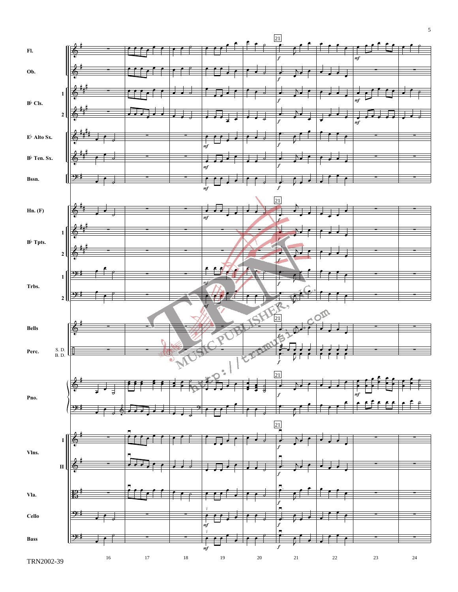

 $\sqrt{5}$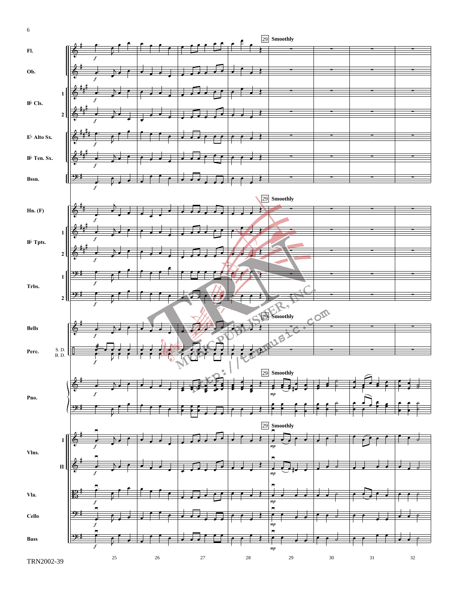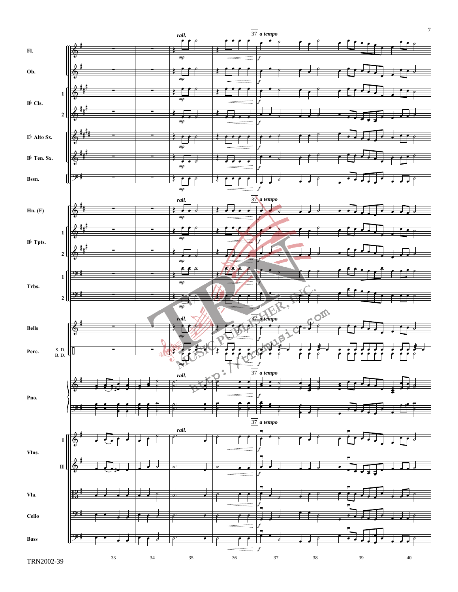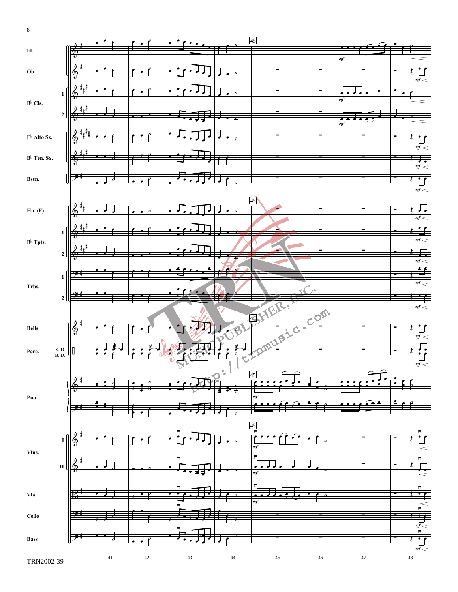

TRN2002-39

42

44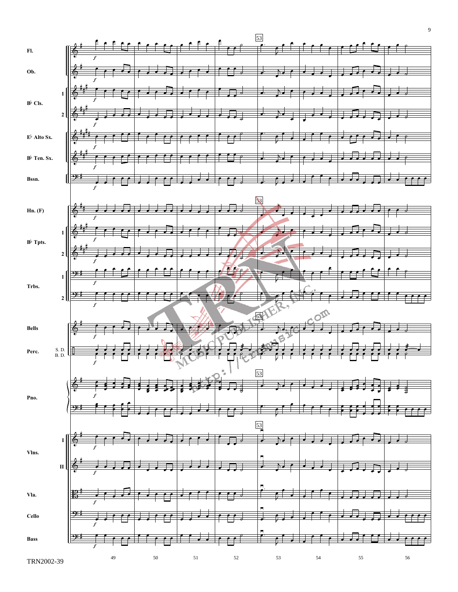![](_page_8_Figure_0.jpeg)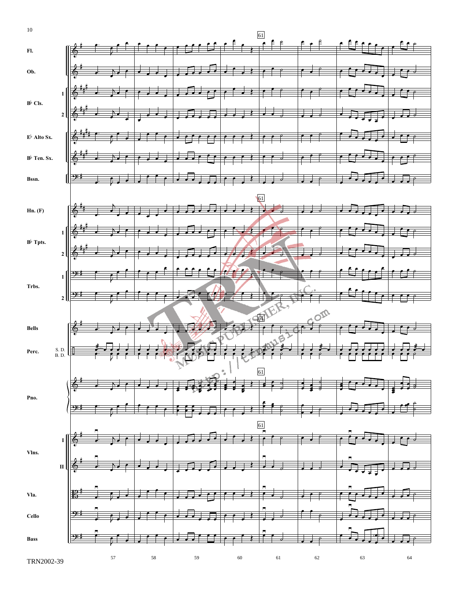![](_page_9_Figure_0.jpeg)